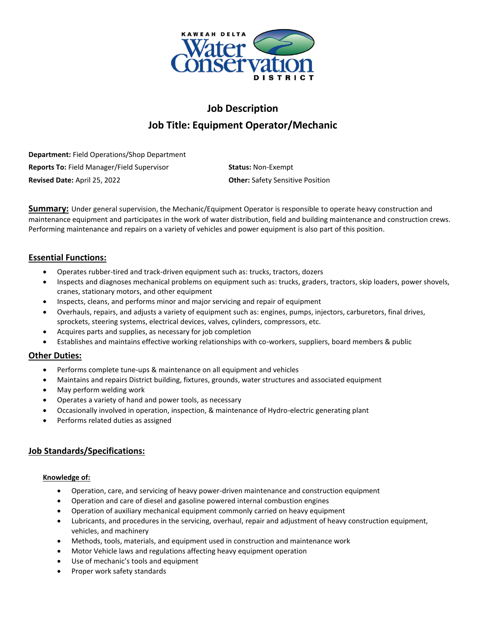

# **Job Description Job Title: Equipment Operator/Mechanic**

**Department:** Field Operations/Shop Department **Reports To:** Field Manager/Field Supervisor **Status:** Non-Exempt **Revised Date:** April 25, 2022 **Other:** Safety Sensitive Position

**Summary:** Under general supervision, the Mechanic/Equipment Operator is responsible to operate heavy construction and maintenance equipment and participates in the work of water distribution, field and building maintenance and construction crews. Performing maintenance and repairs on a variety of vehicles and power equipment is also part of this position.

# **Essential Functions:**

- Operates rubber-tired and track-driven equipment such as: trucks, tractors, dozers
- Inspects and diagnoses mechanical problems on equipment such as: trucks, graders, tractors, skip loaders, power shovels, cranes, stationary motors, and other equipment
- Inspects, cleans, and performs minor and major servicing and repair of equipment
- Overhauls, repairs, and adjusts a variety of equipment such as: engines, pumps, injectors, carburetors, final drives, sprockets, steering systems, electrical devices, valves, cylinders, compressors, etc.
- Acquires parts and supplies, as necessary for job completion
- Establishes and maintains effective working relationships with co-workers, suppliers, board members & public

# **Other Duties:**

- Performs complete tune-ups & maintenance on all equipment and vehicles
- Maintains and repairs District building, fixtures, grounds, water structures and associated equipment
- May perform welding work
- Operates a variety of hand and power tools, as necessary
- Occasionally involved in operation, inspection, & maintenance of Hydro-electric generating plant
- Performs related duties as assigned

# **Job Standards/Specifications:**

#### **Knowledge of:**

- Operation, care, and servicing of heavy power-driven maintenance and construction equipment
- Operation and care of diesel and gasoline powered internal combustion engines
- Operation of auxiliary mechanical equipment commonly carried on heavy equipment
- Lubricants, and procedures in the servicing, overhaul, repair and adjustment of heavy construction equipment, vehicles, and machinery
- Methods, tools, materials, and equipment used in construction and maintenance work
- Motor Vehicle laws and regulations affecting heavy equipment operation
- Use of mechanic's tools and equipment
- Proper work safety standards